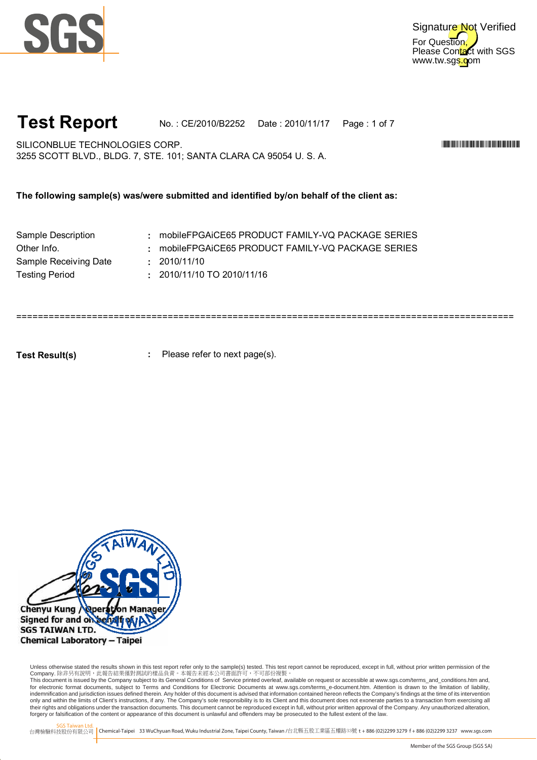



**Test Report** No. : CE/2010/B2252 Date : 2010/11/17 Page : 1 of 7

============================================================================================

SILICONBLUE TECHNOLOGIES CORP. WE SEE A SECOND A SECOND AND SECOND A SECOND AND SECOND A SECOND ASSESSMENT OF THE SECOND ASSESSMENT OF THE SECOND ASSESSMENT OF THE SECOND ASSESSMENT OF THE SECOND ASSESSMENT OF THE SECOND A 3255 SCOTT BLVD., BLDG. 7, STE. 101; SANTA CLARA CA 95054 U. S. A.

**The following sample(s) was/were submitted and identified by/on behalf of the client as:**

| Sample Description    | : mobileFPGAiCE65 PRODUCT FAMILY-VQ PACKAGE SERIES |
|-----------------------|----------------------------------------------------|
| Other Info.           | : mobileFPGAiCE65 PRODUCT FAMILY-VQ PACKAGE SERIES |
| Sample Receiving Date | : 2010/11/10                                       |
| Testing Period        | $: 2010/11/10$ TO 2010/11/16                       |
|                       |                                                    |

**: Test Result(s)** Please refer to next page(s).



Unless otherwise stated the results shown in this test report refer only to the sample(s) tested. This test report cannot be reproduced, except in full, without prior written permission of the Company. 除非另有說明,此報告結果僅對測試的樣品負責。本報告未經本公司書面許可,不可部份複製。

This document is issued by the Company subject to its General Conditions of Service printed overleaf, available on request or accessible at www.sgs.com/terms\_and\_conditions.htm and,<br>for electronic format documents, subject indemnification and jurisdiction issues defined therein. Any holder of this document is advised that information contained hereon reflects the Company's findings at the time of its intervention only and within the limits of Client's instructions, if any. The Company's sole responsibility is to its Client and this document does not exonerate parties to a transaction from exercising all<br>their rights and obligations forgery or falsification of the content or appearance of this document is unlawful and offenders may be prosecuted to the fullest extent of the law.

SGS Taiwan Ltd.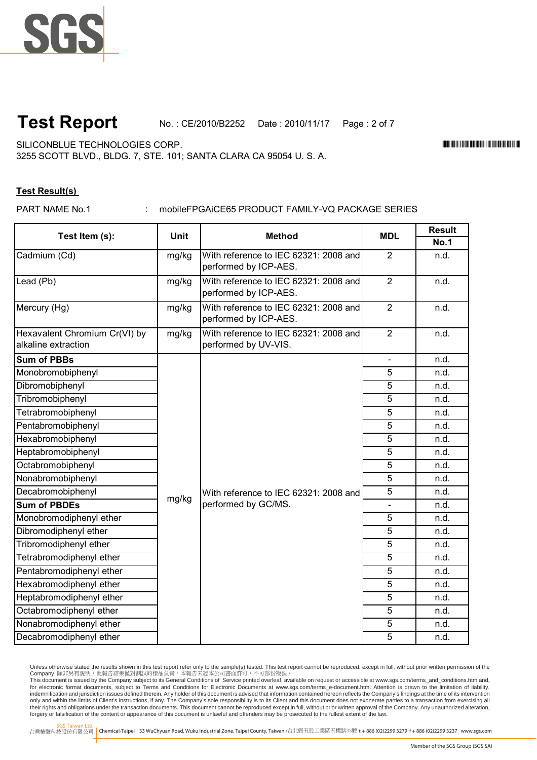

**Test Report** No. : CE/2010/B2252 Date : 2010/11/17 Page : 2 of 7

SILICONBLUE TECHNOLOGIES CORP. WE SEE A SECOND A SECOND AND SERVED AND THE SECOND ASSESSMENT OF THE SECOND ASSESSMENT OF THE SECOND ASSESSMENT OF THE SECOND ASSESSMENT OF THE SECOND ASSESSMENT OF THE SECOND ASSESSMENT OF T

3255 SCOTT BLVD., BLDG. 7, STE. 101; SANTA CLARA CA 95054 U. S. A.

### **Test Result(s)**

PART NAME No.1

### : mobileFPGAiCE65 PRODUCT FAMILY-VQ PACKAGE SERIES

| Test Item (s):                                       | <b>Unit</b> | <b>Method</b>                                                  | <b>MDL</b>     | <b>Result</b> |
|------------------------------------------------------|-------------|----------------------------------------------------------------|----------------|---------------|
|                                                      |             |                                                                |                | No.1          |
| Cadmium (Cd)                                         | mg/kg       | With reference to IEC 62321: 2008 and<br>performed by ICP-AES. | $\overline{2}$ | n.d.          |
| Lead (Pb)                                            | mg/kg       | With reference to IEC 62321: 2008 and<br>performed by ICP-AES. | $\overline{2}$ | n.d.          |
| Mercury (Hg)                                         | mg/kg       | With reference to IEC 62321: 2008 and<br>performed by ICP-AES. | $\overline{2}$ | n.d.          |
| Hexavalent Chromium Cr(VI) by<br>alkaline extraction | mg/kg       | With reference to IEC 62321: 2008 and<br>performed by UV-VIS.  | $\overline{2}$ | n.d.          |
| <b>Sum of PBBs</b>                                   |             | With reference to IEC 62321: 2008 and<br>performed by GC/MS.   | $\blacksquare$ | n.d.          |
| Monobromobiphenyl                                    | mg/kg       |                                                                | 5              | n.d.          |
| Dibromobiphenyl                                      |             |                                                                | 5              | n.d.          |
| Tribromobiphenyl                                     |             |                                                                | 5              | n.d.          |
| Tetrabromobiphenyl                                   |             |                                                                | $\overline{5}$ | n.d.          |
| Pentabromobiphenyl                                   |             |                                                                | 5              | n.d.          |
| Hexabromobiphenyl                                    |             |                                                                | 5              | n.d.          |
| Heptabromobiphenyl                                   |             |                                                                | $\overline{5}$ | n.d.          |
| Octabromobiphenyl                                    |             |                                                                | 5              | n.d.          |
| Nonabromobiphenyl                                    |             |                                                                | 5              | n.d.          |
| Decabromobiphenyl                                    |             |                                                                | $\overline{5}$ | n.d.          |
| <b>Sum of PBDEs</b>                                  |             |                                                                |                | n.d.          |
| Monobromodiphenyl ether                              |             |                                                                | 5              | n.d.          |
| Dibromodiphenyl ether                                |             |                                                                | $\overline{5}$ | n.d.          |
| Tribromodiphenyl ether                               |             |                                                                | 5              | n.d.          |
| Tetrabromodiphenyl ether                             |             |                                                                | $\overline{5}$ | n.d.          |
| Pentabromodiphenyl ether                             |             |                                                                | 5              | n.d.          |
| Hexabromodiphenyl ether                              |             |                                                                | 5              | n.d.          |
| Heptabromodiphenyl ether                             |             |                                                                | 5              | n.d.          |
| Octabromodiphenyl ether                              |             |                                                                | 5              | n.d.          |
| Nonabromodiphenyl ether                              |             |                                                                | 5              | n.d.          |
| Decabromodiphenyl ether                              |             |                                                                | 5              | n.d.          |

Unless otherwise stated the results shown in this test report refer only to the sample(s) tested. This test report cannot be reproduced, except in full, without prior written permission of the

Company. 除非另有說明,此報告結果僅對測試的樣品負責。本報告未經本公司書面許可,不可部份複製。<br>This document is issued by the Company subject to its General Conditions of Service printed overleaf available on request or accessible at www.sgs.com/terms\_and\_conditio indemnification and jurisdiction issues defined therein. Any holder of this document is advised that information contained hereon reflects the Company's findings at the time of its intervention only and within the limits of Client's instructions, if any. The Company's sole responsibility is to its Client and this document does not exonerate parties to a transaction from exercising all<br>their rights and obligations forgery or falsification of the content or appearance of this document is unlawful and offenders may be prosecuted to the fullest extent of the law.

SGS Taiwan Ltd.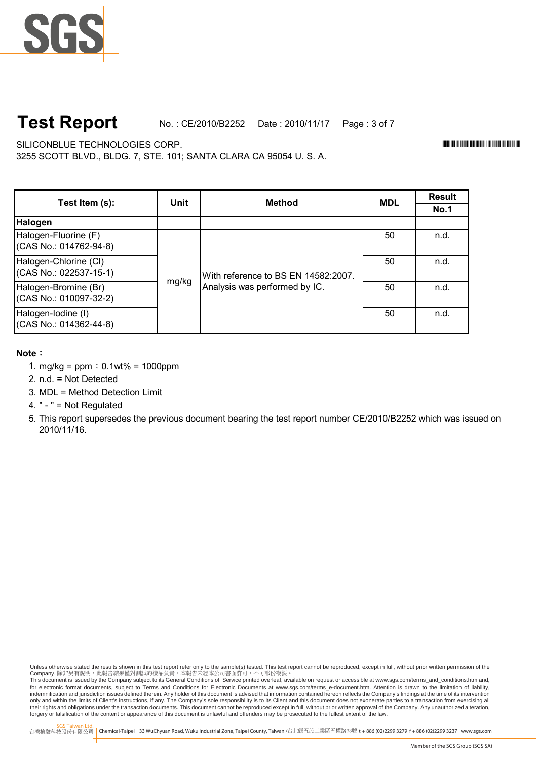

# **Test Report**

No. : CE/2010/B2252 Date : 2010/11/17 Page : 3 of 7

SILICONBLUE TECHNOLOGIES CORP. WE SEE A SECOND A SECOND AND SECOND A SECOND AND SECOND A SECOND ASSESSMENT OF THE SECOND ASSESSMENT OF THE SECOND ASSESSMENT OF THE SECOND ASSESSMENT OF THE SECOND ASSESSMENT OF THE SECOND A

3255 SCOTT BLVD., BLDG. 7, STE. 101; SANTA CLARA CA 95054 U. S. A.

**Result No.1** 50 n.d. 50 n.d. 50 n.d. 50 n.d. Unit **Nethod Method Test Item (s):** Halogen-Chlorine (Cl) (CAS No.: 022537-15-1) With reference to BS EN 14582:2007. Analysis was performed by IC. Halogen-Iodine (I) (CAS No.: 014362-44-8) **Halogen** Halogen-Fluorine (F) (CAS No.: 014762-94-8) mg/kg Halogen-Bromine (Br) (CAS No.: 010097-32-2)

**Note**:

- 1. mg/kg =  $ppm$ ; 0.1wt% = 1000ppm
- 2. n.d. = Not Detected
- 3. MDL = Method Detection Limit
- 4. " " = Not Regulated
- 5. This report supersedes the previous document bearing the test report number CE/2010/B2252 which was issued on 2010/11/16.

Unless otherwise stated the results shown in this test report refer only to the sample(s) tested. This test report cannot be reproduced, except in full, without prior written permission of the Company. 除非另有說明,此報告結果僅對測試的樣品負責。本報告未經本公司書面許可,不可部份複製。

This document is issued by the Company subject to its General Conditions of Service printed overleaf, available on request or accessible at www.sgs.com/terms\_and\_conditions.htm and,<br>for electronic format documents, subject indemnification and jurisdiction issues defined therein. Any holder of this document is advised that information contained hereon reflects the Company's findings at the time of its intervention only and within the limits of Client's instructions, if any. The Company's sole responsibility is to its Client and this document does not exonerate parties to a transaction from exercising all<br>their rights and obligations forgery or falsification of the content or appearance of this document is unlawful and offenders may be prosecuted to the fullest extent of the law.

SGS Taiwan Ltd.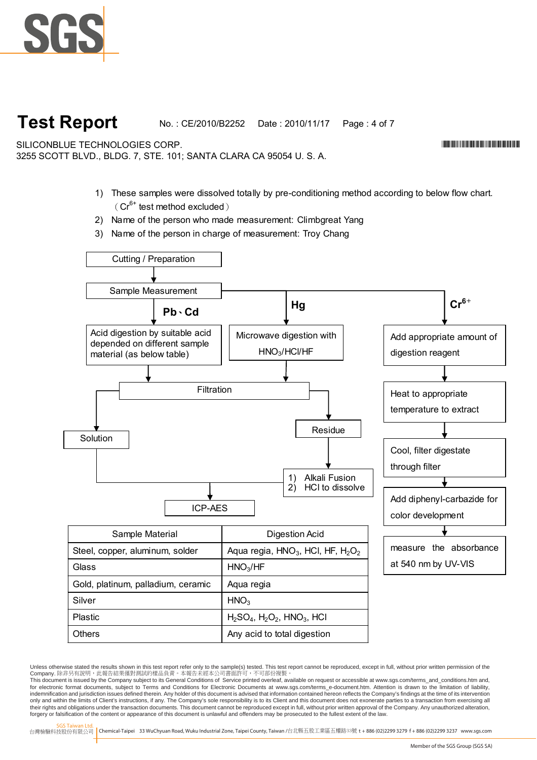

# **Test Report**

No. : CE/2010/B2252 Date : 2010/11/17 Page : 4 of 7

SILICONBLUE TECHNOLOGIES CORP.

3255 SCOTT BLVD., BLDG. 7, STE. 101; SANTA CLARA CA 95054 U. S. A.

- 1) These samples were dissolved totally by pre-conditioning method according to below flow chart.  $(Cr^{6+}$  test method excluded)
- 2) Name of the person who made measurement: Climbgreat Yang
- 3) Name of the person in charge of measurement: Troy Chang



Unless otherwise stated the results shown in this test report refer only to the sample(s) tested. This test report cannot be reproduced, except in full, without prior written permission of the Company. 除非另有說明,此報告結果僅對測試的樣品負責。本報告未經本公司書面許可,不可部份複製。

This document is issued by the Company subject to its General Conditions of Service printed overleaf, available on request or accessible at www.sgs.com/terms\_and\_conditions.htm and,<br>for electronic format documents, subject indemnification and jurisdiction issues defined therein. Any holder of this document is advised that information contained hereon reflects the Company's findings at the time of its intervention only and within the limits of Client's instructions, if any. The Company's sole responsibility is to its Client and this document does not exonerate parties to a transaction from exercising all<br>their rights and obligations forgery or falsification of the content or appearance of this document is unlawful and offenders may be prosecuted to the fullest extent of the law.

SGS Taiwan Ltd.

台灣檢驗科技股份有限公司 Chemical-Taipei 33 WuChyuan Road, Wuku Industrial Zone, Taipei County, Taiwan /台北縣五股工業區五權路33號 **t** +886 (02)2299 3279 **f** + 886 (02)2299 3237 www.sgs.com

\*CE/2010/B2252\*CE/2010/B2252\*CE/2010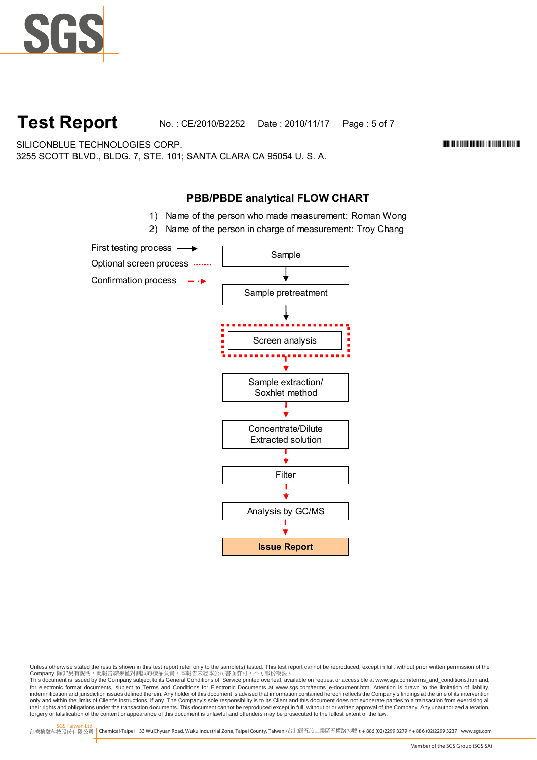

**Test Report** No. : CE/2010/B2252 Date : 2010/11/17 Page : 5 of 7

SILICONBLUE TECHNOLOGIES CORP. WE SEE A SECOND A SECOND AND SECOND A SECOND AND SECOND A SECOND ASSESSMENT OF THE SECOND ASSESSMENT OF THE SECOND ASSESSMENT OF THE SECOND ASSESSMENT OF THE SECOND ASSESSMENT OF THE SECOND A 3255 SCOTT BLVD., BLDG. 7, STE. 101; SANTA CLARA CA 95054 U. S. A.

## **PBB/PBDE analytical FLOW CHART**

- 1) Name of the person who made measurement: Roman Wong
- 2) Name of the person in charge of measurement: Troy Chang



Unless otherwise stated the results shown in this test report refer only to the sample(s) tested. This test report cannot be reproduced, except in full, without prior written permission of the Company. 除非另有說明,此報告結果僅對測試的樣品負責。本報告未經本公司書面許可,不可部份複製。

This document is issued by the Company subject to its General Conditions of Service printed overleaf, available on request or accessible at www.sgs.com/terms\_and\_conditions.htm and,<br>for electronic format documents, subject indemnification and jurisdiction issues defined therein. Any holder of this document is advised that information contained hereon reflects the Company's findings at the time of its intervention only and within the limits of Client's instructions, if any. The Company's sole responsibility is to its Client and this document does not exonerate parties to a transaction from exercising all<br>their rights and obligations forgery or falsification of the content or appearance of this document is unlawful and offenders may be prosecuted to the fullest extent of the law.

SGS Taiwan Ltd.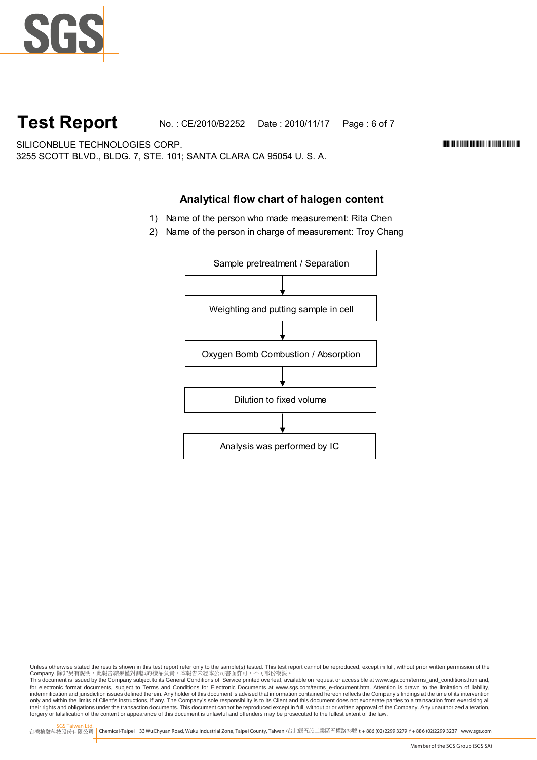

# **Test Report**

No. : CE/2010/B2252 Date : 2010/11/17 Page : 6 of 7

SILICONBLUE TECHNOLOGIES CORP. WE SEE A SECOND A SECOND AND SERVED AND THE SECOND ASSESSMENT OF THE SECOND ASSESSMENT OF THE SECOND ASSESSMENT OF THE SECOND ASSESSMENT OF THE SECOND ASSESSMENT OF THE SECOND ASSESSMENT OF T 3255 SCOTT BLVD., BLDG. 7, STE. 101; SANTA CLARA CA 95054 U. S. A.

## **Analytical flow chart of halogen content**

- 1) Name of the person who made measurement: Rita Chen
- 2) Name of the person in charge of measurement: Troy Chang



Unless otherwise stated the results shown in this test report refer only to the sample(s) tested. This test report cannot be reproduced, except in full, without prior written permission of the Company. 除非另有說明,此報告結果僅對測試的樣品負責。本報告未經本公司書面許可,不可部份複製。

This document is issued by the Company subject to its General Conditions of Service printed overleaf, available on request or accessible at www.sgs.com/terms\_and\_conditions.htm and,<br>for electronic format documents, subject indemnification and jurisdiction issues defined therein. Any holder of this document is advised that information contained hereon reflects the Company's findings at the time of its intervention only and within the limits of Client's instructions, if any. The Company's sole responsibility is to its Client and this document does not exonerate parties to a transaction from exercising all<br>their rights and obligations forgery or falsification of the content or appearance of this document is unlawful and offenders may be prosecuted to the fullest extent of the law.

SGS Taiwan Ltd.